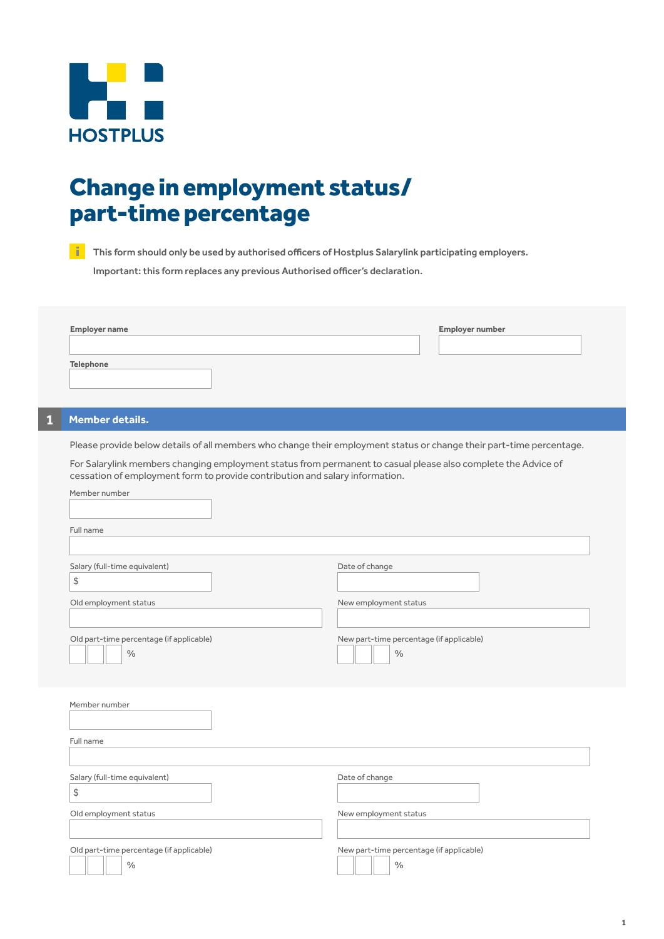

## Change in employment status/ part-time percentage

**This form should only be used by authorised officers of Hostplus Salarylink participating employers.**  Important: this form replaces any previous Authorised officer's declaration.

| <b>Employer name</b> | Employer number |
|----------------------|-----------------|
|                      |                 |
| <b>Telephone</b>     |                 |

## **1 Member details.**

Please provide below details of all members who change their employment status or change their part-time percentage.

For Salarylink members changing employment status from permanent to casual please also complete the Advice of cessation of employment form to provide contribution and salary information.

| Member number                                                            |                                                           |
|--------------------------------------------------------------------------|-----------------------------------------------------------|
| Full name                                                                |                                                           |
| Salary (full-time equivalent)<br>$\updownarrow$<br>Old employment status | Date of change<br>New employment status                   |
| Old part-time percentage (if applicable)<br>$\%$                         | New part-time percentage (if applicable)<br>$\%$          |
| Member number<br>Full name                                               |                                                           |
|                                                                          |                                                           |
| Salary (full-time equivalent)<br>$\updownarrow$                          | Date of change                                            |
| Old employment status                                                    | New employment status                                     |
| Old part-time percentage (if applicable)<br>$\%$                         | New part-time percentage (if applicable)<br>$\frac{0}{0}$ |